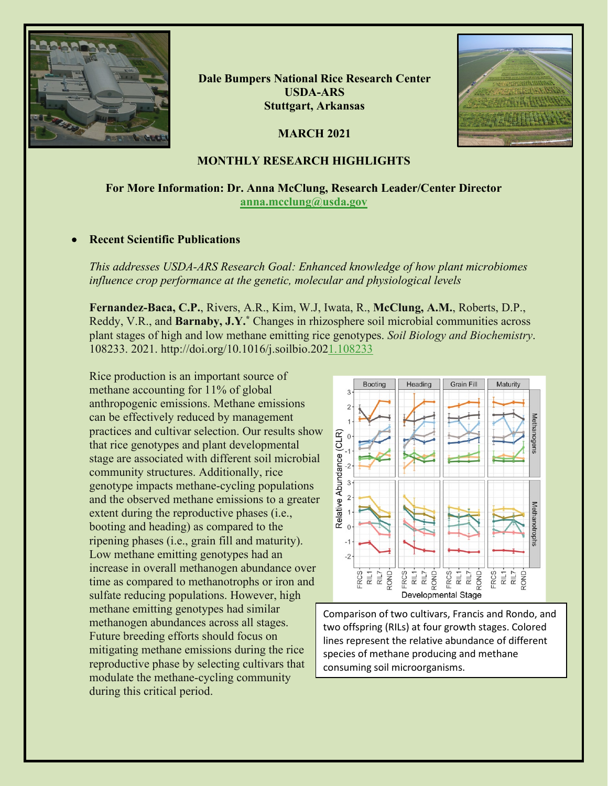

**Dale Bumpers National Rice Research Center USDA-ARS Stuttgart, Arkansas**

**MARCH 2021**



# **MONTHLY RESEARCH HIGHLIGHTS**

# **For More Information: Dr. Anna McClung, Research Leader/Center Director [anna.mcclung@usda.gov](mailto:anna.mcclung@usda.gov)**

# • **Recent Scientific Publications**

*This addresses USDA-ARS Research Goal: Enhanced knowledge of how plant microbiomes influence crop performance at the genetic, molecular and physiological levels*

**Fernandez-Baca, C.P.**, Rivers, A.R., Kim, W.J, Iwata, R., **McClung, A.M.**, Roberts, D.P., Reddy, V.R., and **Barnaby, J.Y.\*** Changes in rhizosphere soil microbial communities across plant stages of high and low methane emitting rice genotypes. *Soil Biology and Biochemistry*. 108233. 2021. http://doi.org/10.1016/j.soilbio.20[21.108233](https://doi.org/10.1016/j.soilbio.2021.108233)

Rice production is an important source of methane accounting for 11% of global anthropogenic emissions. Methane emissions can be effectively reduced by management practices and cultivar selection. Our results show that rice genotypes and plant developmental stage are associated with different soil microbial community structures. Additionally, rice genotype impacts methane-cycling populations and the observed methane emissions to a greater extent during the reproductive phases (i.e., booting and heading) as compared to the ripening phases (i.e., grain fill and maturity). Low methane emitting genotypes had an increase in overall methanogen abundance over time as compared to methanotrophs or iron and sulfate reducing populations. However, high methane emitting genotypes had similar methanogen abundances across all stages. Future breeding efforts should focus on mitigating methane emissions during the rice reproductive phase by selecting cultivars that modulate the methane-cycling community during this critical period.



Comparison of two cultivars, Francis and Rondo, and two offspring (RILs) at four growth stages. Colored lines represent the relative abundance of different species of methane producing and methane consuming soil microorganisms.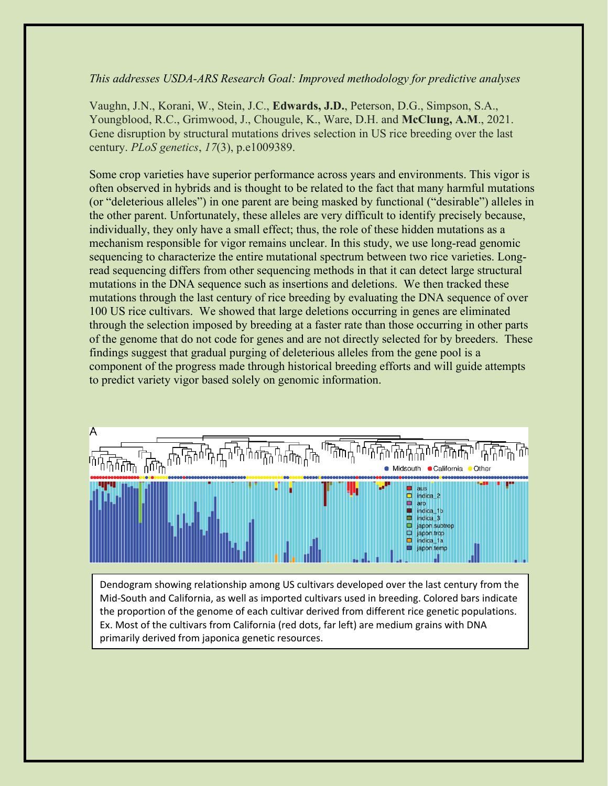### *This addresses USDA-ARS Research Goal: Improved methodology for predictive analyses*

Vaughn, J.N., Korani, W., Stein, J.C., **Edwards, J.D.**, Peterson, D.G., Simpson, S.A., Youngblood, R.C., Grimwood, J., Chougule, K., Ware, D.H. and **McClung, A.M**., 2021. Gene disruption by structural mutations drives selection in US rice breeding over the last century. *PLoS genetics*, *17*(3), p.e1009389.

Some crop varieties have superior performance across years and environments. This vigor is often observed in hybrids and is thought to be related to the fact that many harmful mutations (or "deleterious alleles") in one parent are being masked by functional ("desirable") alleles in the other parent. Unfortunately, these alleles are very difficult to identify precisely because, individually, they only have a small effect; thus, the role of these hidden mutations as a mechanism responsible for vigor remains unclear. In this study, we use long-read genomic sequencing to characterize the entire mutational spectrum between two rice varieties. Longread sequencing differs from other sequencing methods in that it can detect large structural mutations in the DNA sequence such as insertions and deletions. We then tracked these mutations through the last century of rice breeding by evaluating the DNA sequence of over 100 US rice cultivars. We showed that large deletions occurring in genes are eliminated through the selection imposed by breeding at a faster rate than those occurring in other parts of the genome that do not code for genes and are not directly selected for by breeders. These findings suggest that gradual purging of deleterious alleles from the gene pool is a component of the progress made through historical breeding efforts and will guide attempts to predict variety vigor based solely on genomic information.



Dendogram showing relationship among US cultivars developed over the last century from the Mid-South and California, as well as imported cultivars used in breeding. Colored bars indicate the proportion of the genome of each cultivar derived from different rice genetic populations. Ex. Most of the cultivars from California (red dots, far left) are medium grains with DNA primarily derived from japonica genetic resources.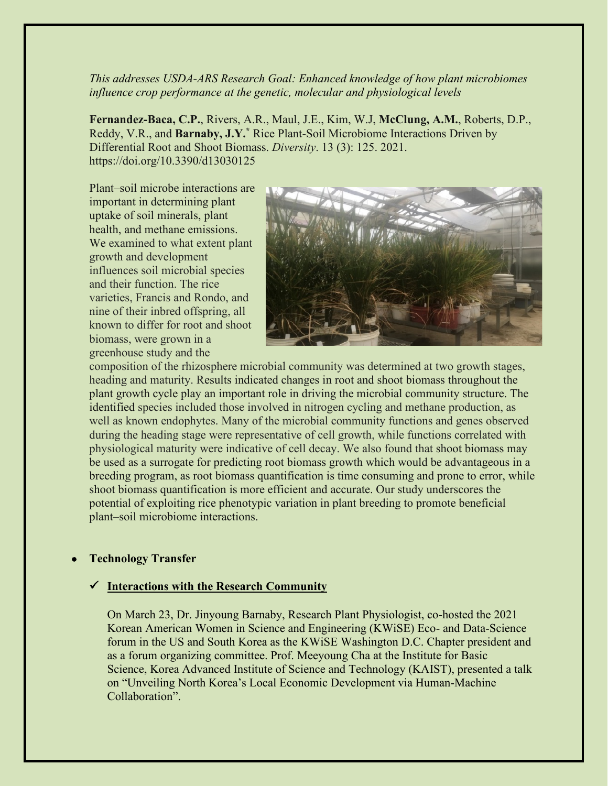### *This addresses USDA-ARS Research Goal: Enhanced knowledge of how plant microbiomes influence crop performance at the genetic, molecular and physiological levels*

**Fernandez-Baca, C.P.**, Rivers, A.R., Maul, J.E., Kim, W.J, **McClung, A.M.**, Roberts, D.P., Reddy, V.R., and **Barnaby, J.Y.\*** Rice Plant-Soil Microbiome Interactions Driven by Differential Root and Shoot Biomass. *Diversity*. 13 (3): 125. 2021. https://doi.org/10.3390/d13030125

Plant–soil microbe interactions are important in determining plant uptake of soil minerals, plant health, and methane emissions. We examined to what extent plant growth and development influences soil microbial species and their function. The rice varieties, Francis and Rondo, and nine of their inbred offspring, all known to differ for root and shoot biomass, were grown in a greenhouse study and the



composition of the rhizosphere microbial community was determined at two growth stages, heading and maturity. Results indicated changes in root and shoot biomass throughout the plant growth cycle play an important role in driving the microbial community structure. The identified species included those involved in nitrogen cycling and methane production, as well as known endophytes. Many of the microbial community functions and genes observed during the heading stage were representative of cell growth, while functions correlated with physiological maturity were indicative of cell decay. We also found that shoot biomass may be used as a surrogate for predicting root biomass growth which would be advantageous in a breeding program, as root biomass quantification is time consuming and prone to error, while shoot biomass quantification is more efficient and accurate. Our study underscores the potential of exploiting rice phenotypic variation in plant breeding to promote beneficial plant–soil microbiome interactions.

# • **Technology Transfer**

#### **Interactions with the Research Community**

On March 23, Dr. Jinyoung Barnaby, Research Plant Physiologist, co-hosted the 2021 Korean American Women in Science and Engineering (KWiSE) Eco- and Data-Science forum in the US and South Korea as the KWiSE Washington D.C. Chapter president and as a forum organizing committee. Prof. Meeyoung Cha at the Institute for Basic Science, Korea Advanced Institute of Science and Technology (KAIST), presented a talk on "Unveiling North Korea's Local Economic Development via Human-Machine Collaboration".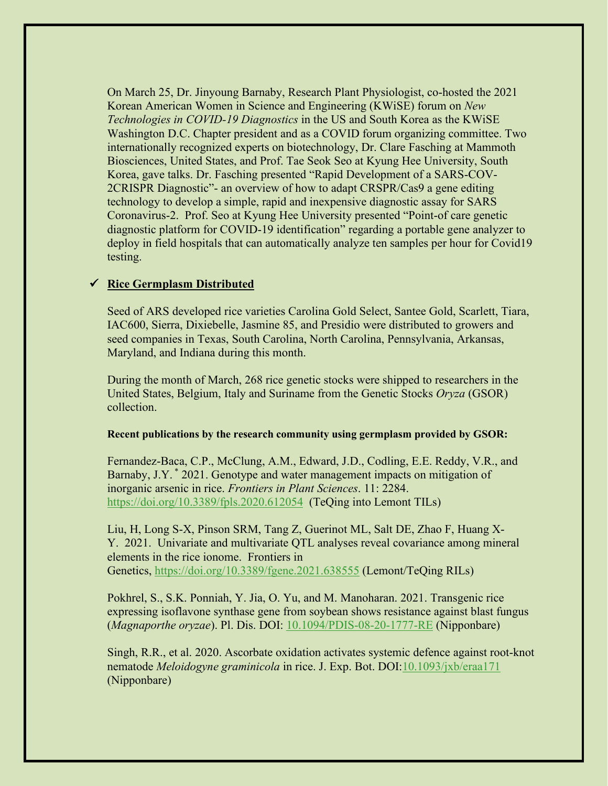On March 25, Dr. Jinyoung Barnaby, Research Plant Physiologist, co-hosted the 2021 Korean American Women in Science and Engineering (KWiSE) forum on *New Technologies in COVID-19 Diagnostics* in the US and South Korea as the KWiSE Washington D.C. Chapter president and as a COVID forum organizing committee. Two internationally recognized experts on biotechnology, Dr. Clare Fasching at Mammoth Biosciences, United States, and Prof. Tae Seok Seo at Kyung Hee University, South Korea, gave talks. Dr. Fasching presented "Rapid Development of a SARS-COV-2CRISPR Diagnostic"- an overview of how to adapt CRSPR/Cas9 a gene editing technology to develop a simple, rapid and inexpensive diagnostic assay for SARS Coronavirus-2. Prof. Seo at Kyung Hee University presented "Point-of care genetic diagnostic platform for COVID-19 identification" regarding a portable gene analyzer to deploy in field hospitals that can automatically analyze ten samples per hour for Covid19 testing.

# **Rice Germplasm Distributed**

Seed of ARS developed rice varieties Carolina Gold Select, Santee Gold, Scarlett, Tiara, IAC600, Sierra, Dixiebelle, Jasmine 85, and Presidio were distributed to growers and seed companies in Texas, South Carolina, North Carolina, Pennsylvania, Arkansas, Maryland, and Indiana during this month.

During the month of March, 268 rice genetic stocks were shipped to researchers in the United States, Belgium, Italy and Suriname from the Genetic Stocks *Oryza* (GSOR) collection.

#### **Recent publications by the research community using germplasm provided by GSOR:**

Fernandez-Baca, C.P., McClung, A.M., Edward, J.D., Codling, E.E. Reddy, V.R., and Barnaby, J.Y. \* 2021. Genotype and water management impacts on mitigation of inorganic arsenic in rice. *Frontiers in Plant Sciences*. 11: 2284. [https://doi.org/10.3389/fpls.2020.612054](https://gcc02.safelinks.protection.outlook.com/?url=https%3A%2F%2Fdoi.org%2F10.3389%2Ffpls.2020.612054&data=04%7C01%7C%7Cc0ac9866a18f4d122a2d08d8f4492fe6%7Ced5b36e701ee4ebc867ee03cfa0d4697%7C0%7C0%7C637527942460597113%7CUnknown%7CTWFpbGZsb3d8eyJWIjoiMC4wLjAwMDAiLCJQIjoiV2luMzIiLCJBTiI6Ik1haWwiLCJXVCI6Mn0%3D%7C1000&sdata=UTlTBw8VqyLHBtmaOhwdheZL0CpdK1dXlIJ46WnEj%2Bk%3D&reserved=0) (TeQing into Lemont TILs)

Liu, H, Long S-X, Pinson SRM, Tang Z, Guerinot ML, Salt DE, Zhao F, Huang X-Y. 2021. Univariate and multivariate QTL analyses reveal covariance among mineral elements in the rice ionome. Frontiers in Genetics, [https://doi.org/10.3389/fgene.2021.638555](https://gcc02.safelinks.protection.outlook.com/?url=https%3A%2F%2Fdoi.org%2F10.3389%2Ffgene.2021.638555&data=04%7C01%7C%7Cc0ac9866a18f4d122a2d08d8f4492fe6%7Ced5b36e701ee4ebc867ee03cfa0d4697%7C0%7C0%7C637527942460607068%7CUnknown%7CTWFpbGZsb3d8eyJWIjoiMC4wLjAwMDAiLCJQIjoiV2luMzIiLCJBTiI6Ik1haWwiLCJXVCI6Mn0%3D%7C1000&sdata=ogpkXN1EXi35Gko1H8z%2FuIMI%2BspzNwD2VVblYU8Wh4Q%3D&reserved=0) (Lemont/TeQing RILs)

Pokhrel, S., S.K. Ponniah, Y. Jia, O. Yu, and M. Manoharan. 2021. Transgenic rice expressing isoflavone synthase gene from soybean shows resistance against blast fungus (*Magnaporthe oryzae*). Pl. Dis. DOI: [10.1094/PDIS-08-20-1777-RE](https://gcc02.safelinks.protection.outlook.com/?url=https%3A%2F%2Fdoi.org%2F10.1094%2FPDIS-08-20-1777-RE&data=04%7C01%7C%7Cc0ac9866a18f4d122a2d08d8f4492fe6%7Ced5b36e701ee4ebc867ee03cfa0d4697%7C0%7C0%7C637527942460607068%7CUnknown%7CTWFpbGZsb3d8eyJWIjoiMC4wLjAwMDAiLCJQIjoiV2luMzIiLCJBTiI6Ik1haWwiLCJXVCI6Mn0%3D%7C1000&sdata=m6apybSJ5WbOwzL7t4XBxSwPiBC%2FeJcjUM%2FxENAS6Qw%3D&reserved=0) (Nipponbare)

Singh, R.R., et al. 2020. Ascorbate oxidation activates systemic defence against root-knot nematode *Meloidogyne graminicola* in rice. J. Exp. Bot. DOI[:10.1093/jxb/eraa171](https://gcc02.safelinks.protection.outlook.com/?url=https%3A%2F%2Fdoi.org%2F10.1093%2Fjxb%2Feraa171&data=04%7C01%7C%7Cc0ac9866a18f4d122a2d08d8f4492fe6%7Ced5b36e701ee4ebc867ee03cfa0d4697%7C0%7C0%7C637527942460607068%7CUnknown%7CTWFpbGZsb3d8eyJWIjoiMC4wLjAwMDAiLCJQIjoiV2luMzIiLCJBTiI6Ik1haWwiLCJXVCI6Mn0%3D%7C1000&sdata=QagVif45wIop1tfujIauozM6q%2Bi20ZevJcn9T%2FeyRkQ%3D&reserved=0) (Nipponbare)